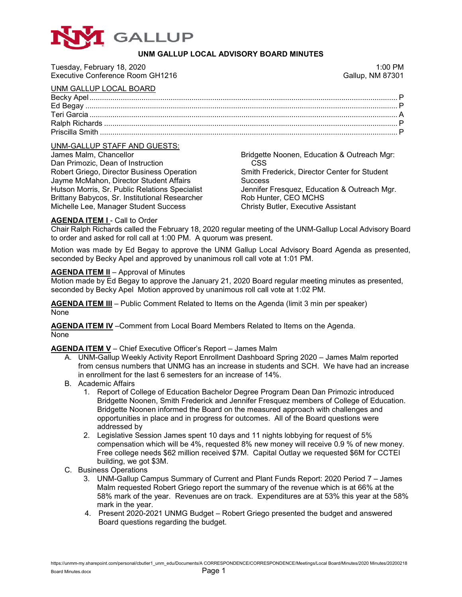

# **UNM GALLUP LOCAL ADVISORY BOARD MINUTES**

| Tuesday, February 18, 2020       | 1:00 PM                 |
|----------------------------------|-------------------------|
| Executive Conference Room GH1216 | <b>Gallup, NM 87301</b> |
| UNM GALLUP LOCAL BOARD           |                         |
|                                  |                         |
|                                  |                         |
|                                  |                         |
|                                  |                         |
|                                  |                         |
|                                  |                         |

### UNM-GALLUP STAFF AND GUESTS:

| James Malm, Chancellor                         | Bridgette Noonen, Education & Outreach Mgr:  |
|------------------------------------------------|----------------------------------------------|
| Dan Primozic, Dean of Instruction              | CSS.                                         |
| Robert Griego, Director Business Operation     | Smith Frederick, Director Center for Student |
| Jayme McMahon, Director Student Affairs        | <b>Success</b>                               |
| Hutson Morris, Sr. Public Relations Specialist | Jennifer Fresquez, Education & Outreach Mgr. |
| Brittany Babycos, Sr. Institutional Researcher | Rob Hunter, CEO MCHS                         |
| Michelle Lee, Manager Student Success          | <b>Christy Butler, Executive Assistant</b>   |
|                                                |                                              |

### **AGENDA ITEM I - Call to Order**

Chair Ralph Richards called the February 18, 2020 regular meeting of the UNM-Gallup Local Advisory Board to order and asked for roll call at 1:00 PM. A quorum was present.

Motion was made by Ed Begay to approve the UNM Gallup Local Advisory Board Agenda as presented, seconded by Becky Apel and approved by unanimous roll call vote at 1:01 PM.

#### **AGENDA ITEM II** – Approval of Minutes

Motion made by Ed Begay to approve the January 21, 2020 Board regular meeting minutes as presented, seconded by Becky Apel Motion approved by unanimous roll call vote at 1:02 PM.

**AGENDA ITEM III** – Public Comment Related to Items on the Agenda (limit 3 min per speaker) None

**AGENDA ITEM IV** –Comment from Local Board Members Related to Items on the Agenda. None

**AGENDA ITEM V** – Chief Executive Officer's Report – James Malm

- A. UNM-Gallup Weekly Activity Report Enrollment Dashboard Spring 2020 James Malm reported from census numbers that UNMG has an increase in students and SCH. We have had an increase in enrollment for the last 6 semesters for an increase of 14%.
- B. Academic Affairs
	- 1. Report of College of Education Bachelor Degree Program Dean Dan Primozic introduced Bridgette Noonen, Smith Frederick and Jennifer Fresquez members of College of Education. Bridgette Noonen informed the Board on the measured approach with challenges and opportunities in place and in progress for outcomes. All of the Board questions were addressed by
	- 2. Legislative Session James spent 10 days and 11 nights lobbying for request of 5% compensation which will be 4%, requested 8% new money will receive 0.9 % of new money. Free college needs \$62 million received \$7M. Capital Outlay we requested \$6M for CCTEI building, we got \$3M.
- C. Business Operations
	- 3. UNM-Gallup Campus Summary of Current and Plant Funds Report: 2020 Period 7 James Malm requested Robert Griego report the summary of the revenue which is at 66% at the 58% mark of the year. Revenues are on track. Expenditures are at 53% this year at the 58% mark in the year.
	- 4. Present 2020-2021 UNMG Budget Robert Griego presented the budget and answered Board questions regarding the budget.